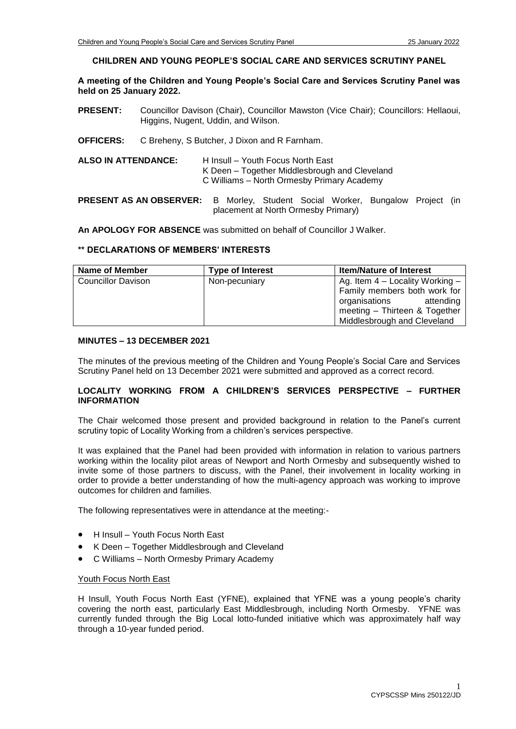## **CHILDREN AND YOUNG PEOPLE'S SOCIAL CARE AND SERVICES SCRUTINY PANEL**

**A meeting of the Children and Young People's Social Care and Services Scrutiny Panel was held on 25 January 2022.**

- **PRESENT:** Councillor Davison (Chair), Councillor Mawston (Vice Chair); Councillors: Hellaoui, Higgins, Nugent, Uddin, and Wilson.
- **OFFICERS:** C Breheny, S Butcher, J Dixon and R Farnham.
- **ALSO IN ATTENDANCE:** H Insull Youth Focus North East K Deen – Together Middlesbrough and Cleveland C Williams – North Ormesby Primary Academy

# **PRESENT AS AN OBSERVER:** B Morley, Student Social Worker, Bungalow Project (in placement at North Ormesby Primary)

**An APOLOGY FOR ABSENCE** was submitted on behalf of Councillor J Walker.

### **\*\* DECLARATIONS OF MEMBERS' INTERESTS**

| Name of Member     | <b>Type of Interest</b> | <b>Item/Nature of Interest</b>    |
|--------------------|-------------------------|-----------------------------------|
| Councillor Davison | Non-pecuniary           | Ag. Item $4$ – Locality Working – |
|                    |                         | Family members both work for      |
|                    |                         | organisations<br>attending        |
|                    |                         | meeting - Thirteen & Together     |
|                    |                         | Middlesbrough and Cleveland       |

# **MINUTES – 13 DECEMBER 2021**

The minutes of the previous meeting of the Children and Young People's Social Care and Services Scrutiny Panel held on 13 December 2021 were submitted and approved as a correct record.

# **LOCALITY WORKING FROM A CHILDREN'S SERVICES PERSPECTIVE – FURTHER INFORMATION**

The Chair welcomed those present and provided background in relation to the Panel's current scrutiny topic of Locality Working from a children's services perspective.

It was explained that the Panel had been provided with information in relation to various partners working within the locality pilot areas of Newport and North Ormesby and subsequently wished to invite some of those partners to discuss, with the Panel, their involvement in locality working in order to provide a better understanding of how the multi-agency approach was working to improve outcomes for children and families.

The following representatives were in attendance at the meeting:-

- H Insull Youth Focus North East
- K Deen Together Middlesbrough and Cleveland
- C Williams North Ormesby Primary Academy

#### Youth Focus North East

H Insull, Youth Focus North East (YFNE), explained that YFNE was a young people's charity covering the north east, particularly East Middlesbrough, including North Ormesby. YFNE was currently funded through the Big Local lotto-funded initiative which was approximately half way through a 10-year funded period.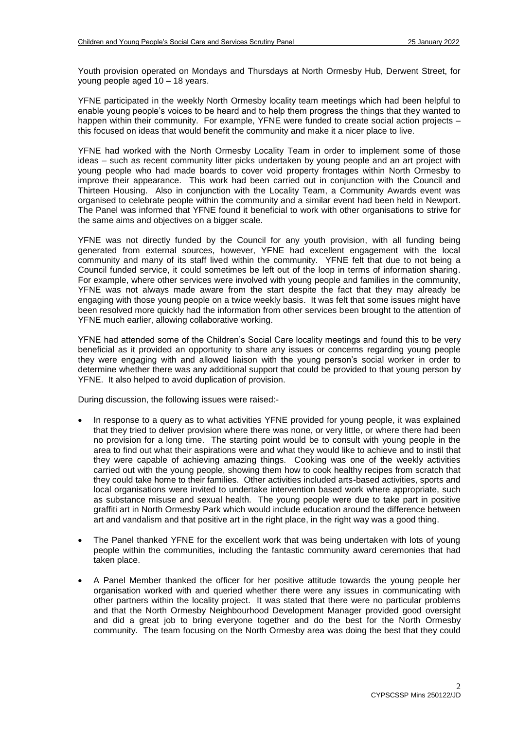Youth provision operated on Mondays and Thursdays at North Ormesby Hub, Derwent Street, for young people aged 10 – 18 years.

YFNE participated in the weekly North Ormesby locality team meetings which had been helpful to enable young people's voices to be heard and to help them progress the things that they wanted to happen within their community. For example, YFNE were funded to create social action projects – this focused on ideas that would benefit the community and make it a nicer place to live.

YFNE had worked with the North Ormesby Locality Team in order to implement some of those ideas – such as recent community litter picks undertaken by young people and an art project with young people who had made boards to cover void property frontages within North Ormesby to improve their appearance. This work had been carried out in conjunction with the Council and Thirteen Housing. Also in conjunction with the Locality Team, a Community Awards event was organised to celebrate people within the community and a similar event had been held in Newport. The Panel was informed that YFNE found it beneficial to work with other organisations to strive for the same aims and objectives on a bigger scale.

YFNE was not directly funded by the Council for any youth provision, with all funding being generated from external sources, however, YFNE had excellent engagement with the local community and many of its staff lived within the community. YFNE felt that due to not being a Council funded service, it could sometimes be left out of the loop in terms of information sharing. For example, where other services were involved with young people and families in the community, YFNE was not always made aware from the start despite the fact that they may already be engaging with those young people on a twice weekly basis. It was felt that some issues might have been resolved more quickly had the information from other services been brought to the attention of YFNE much earlier, allowing collaborative working.

YFNE had attended some of the Children's Social Care locality meetings and found this to be very beneficial as it provided an opportunity to share any issues or concerns regarding young people they were engaging with and allowed liaison with the young person's social worker in order to determine whether there was any additional support that could be provided to that young person by YFNE. It also helped to avoid duplication of provision.

During discussion, the following issues were raised:-

- In response to a query as to what activities YFNE provided for young people, it was explained that they tried to deliver provision where there was none, or very little, or where there had been no provision for a long time. The starting point would be to consult with young people in the area to find out what their aspirations were and what they would like to achieve and to instil that they were capable of achieving amazing things. Cooking was one of the weekly activities carried out with the young people, showing them how to cook healthy recipes from scratch that they could take home to their families. Other activities included arts-based activities, sports and local organisations were invited to undertake intervention based work where appropriate, such as substance misuse and sexual health. The young people were due to take part in positive graffiti art in North Ormesby Park which would include education around the difference between art and vandalism and that positive art in the right place, in the right way was a good thing.
- The Panel thanked YFNE for the excellent work that was being undertaken with lots of young people within the communities, including the fantastic community award ceremonies that had taken place.
- A Panel Member thanked the officer for her positive attitude towards the young people her organisation worked with and queried whether there were any issues in communicating with other partners within the locality project. It was stated that there were no particular problems and that the North Ormesby Neighbourhood Development Manager provided good oversight and did a great job to bring everyone together and do the best for the North Ormesby community. The team focusing on the North Ormesby area was doing the best that they could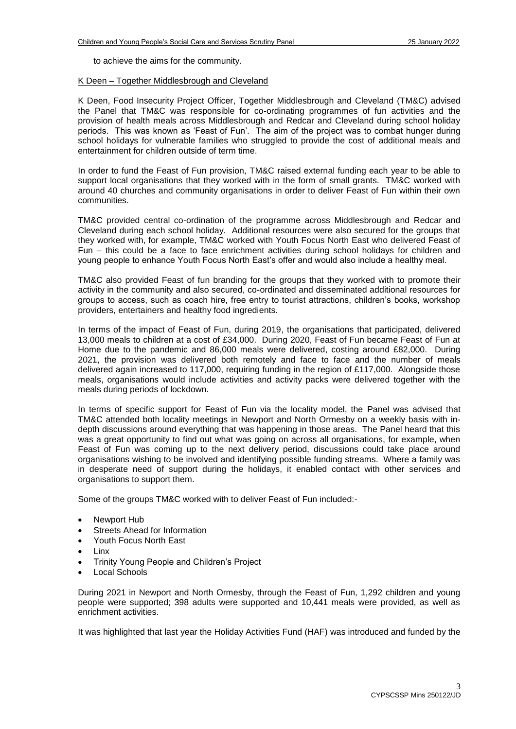to achieve the aims for the community.

#### K Deen – Together Middlesbrough and Cleveland

K Deen, Food Insecurity Project Officer, Together Middlesbrough and Cleveland (TM&C) advised the Panel that TM&C was responsible for co-ordinating programmes of fun activities and the provision of health meals across Middlesbrough and Redcar and Cleveland during school holiday periods. This was known as 'Feast of Fun'. The aim of the project was to combat hunger during school holidays for vulnerable families who struggled to provide the cost of additional meals and entertainment for children outside of term time.

In order to fund the Feast of Fun provision, TM&C raised external funding each year to be able to support local organisations that they worked with in the form of small grants. TM&C worked with around 40 churches and community organisations in order to deliver Feast of Fun within their own communities.

TM&C provided central co-ordination of the programme across Middlesbrough and Redcar and Cleveland during each school holiday. Additional resources were also secured for the groups that they worked with, for example, TM&C worked with Youth Focus North East who delivered Feast of Fun – this could be a face to face enrichment activities during school holidays for children and young people to enhance Youth Focus North East's offer and would also include a healthy meal.

TM&C also provided Feast of fun branding for the groups that they worked with to promote their activity in the community and also secured, co-ordinated and disseminated additional resources for groups to access, such as coach hire, free entry to tourist attractions, children's books, workshop providers, entertainers and healthy food ingredients.

In terms of the impact of Feast of Fun, during 2019, the organisations that participated, delivered 13,000 meals to children at a cost of £34,000. During 2020, Feast of Fun became Feast of Fun at Home due to the pandemic and 86,000 meals were delivered, costing around £82,000. During 2021, the provision was delivered both remotely and face to face and the number of meals delivered again increased to 117,000, requiring funding in the region of £117,000. Alongside those meals, organisations would include activities and activity packs were delivered together with the meals during periods of lockdown.

In terms of specific support for Feast of Fun via the locality model, the Panel was advised that TM&C attended both locality meetings in Newport and North Ormesby on a weekly basis with indepth discussions around everything that was happening in those areas. The Panel heard that this was a great opportunity to find out what was going on across all organisations, for example, when Feast of Fun was coming up to the next delivery period, discussions could take place around organisations wishing to be involved and identifying possible funding streams. Where a family was in desperate need of support during the holidays, it enabled contact with other services and organisations to support them.

Some of the groups TM&C worked with to deliver Feast of Fun included:-

- Newport Hub
- Streets Ahead for Information
- Youth Focus North East
- Linx
- Trinity Young People and Children's Project
- Local Schools

During 2021 in Newport and North Ormesby, through the Feast of Fun, 1,292 children and young people were supported; 398 adults were supported and 10,441 meals were provided, as well as enrichment activities.

It was highlighted that last year the Holiday Activities Fund (HAF) was introduced and funded by the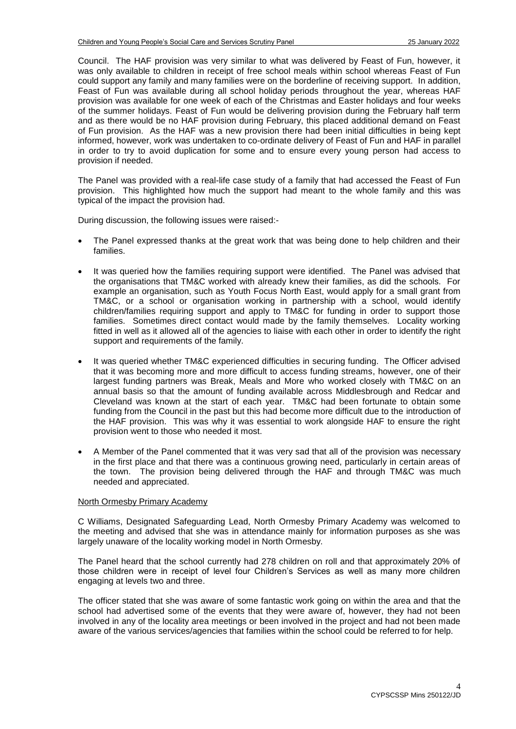Council. The HAF provision was very similar to what was delivered by Feast of Fun, however, it was only available to children in receipt of free school meals within school whereas Feast of Fun could support any family and many families were on the borderline of receiving support. In addition, Feast of Fun was available during all school holiday periods throughout the year, whereas HAF provision was available for one week of each of the Christmas and Easter holidays and four weeks of the summer holidays. Feast of Fun would be delivering provision during the February half term and as there would be no HAF provision during February, this placed additional demand on Feast of Fun provision. As the HAF was a new provision there had been initial difficulties in being kept informed, however, work was undertaken to co-ordinate delivery of Feast of Fun and HAF in parallel in order to try to avoid duplication for some and to ensure every young person had access to provision if needed.

The Panel was provided with a real-life case study of a family that had accessed the Feast of Fun provision. This highlighted how much the support had meant to the whole family and this was typical of the impact the provision had.

During discussion, the following issues were raised:-

- The Panel expressed thanks at the great work that was being done to help children and their families.
- It was queried how the families requiring support were identified. The Panel was advised that the organisations that TM&C worked with already knew their families, as did the schools. For example an organisation, such as Youth Focus North East, would apply for a small grant from TM&C, or a school or organisation working in partnership with a school, would identify children/families requiring support and apply to TM&C for funding in order to support those families. Sometimes direct contact would made by the family themselves. Locality working fitted in well as it allowed all of the agencies to liaise with each other in order to identify the right support and requirements of the family.
- It was queried whether TM&C experienced difficulties in securing funding. The Officer advised that it was becoming more and more difficult to access funding streams, however, one of their largest funding partners was Break, Meals and More who worked closely with TM&C on an annual basis so that the amount of funding available across Middlesbrough and Redcar and Cleveland was known at the start of each year. TM&C had been fortunate to obtain some funding from the Council in the past but this had become more difficult due to the introduction of the HAF provision. This was why it was essential to work alongside HAF to ensure the right provision went to those who needed it most.
- A Member of the Panel commented that it was very sad that all of the provision was necessary in the first place and that there was a continuous growing need, particularly in certain areas of the town. The provision being delivered through the HAF and through TM&C was much needed and appreciated.

### North Ormesby Primary Academy

C Williams, Designated Safeguarding Lead, North Ormesby Primary Academy was welcomed to the meeting and advised that she was in attendance mainly for information purposes as she was largely unaware of the locality working model in North Ormesby.

The Panel heard that the school currently had 278 children on roll and that approximately 20% of those children were in receipt of level four Children's Services as well as many more children engaging at levels two and three.

The officer stated that she was aware of some fantastic work going on within the area and that the school had advertised some of the events that they were aware of, however, they had not been involved in any of the locality area meetings or been involved in the project and had not been made aware of the various services/agencies that families within the school could be referred to for help.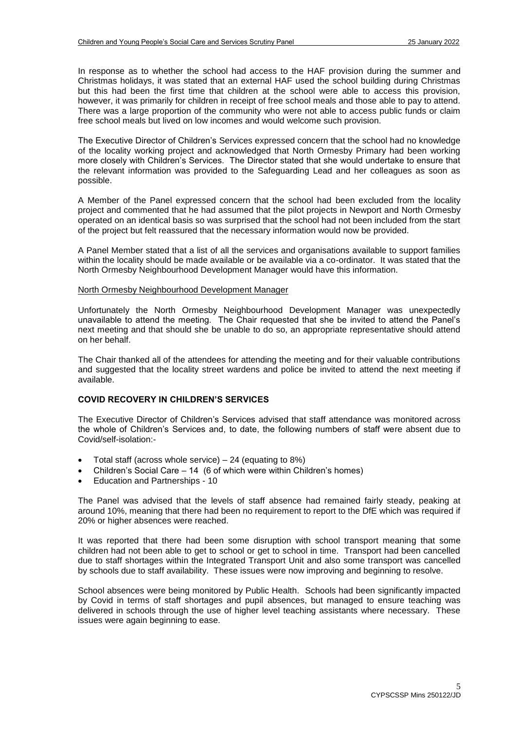In response as to whether the school had access to the HAF provision during the summer and Christmas holidays, it was stated that an external HAF used the school building during Christmas but this had been the first time that children at the school were able to access this provision, however, it was primarily for children in receipt of free school meals and those able to pay to attend. There was a large proportion of the community who were not able to access public funds or claim free school meals but lived on low incomes and would welcome such provision.

The Executive Director of Children's Services expressed concern that the school had no knowledge of the locality working project and acknowledged that North Ormesby Primary had been working more closely with Children's Services. The Director stated that she would undertake to ensure that the relevant information was provided to the Safeguarding Lead and her colleagues as soon as possible.

A Member of the Panel expressed concern that the school had been excluded from the locality project and commented that he had assumed that the pilot projects in Newport and North Ormesby operated on an identical basis so was surprised that the school had not been included from the start of the project but felt reassured that the necessary information would now be provided.

A Panel Member stated that a list of all the services and organisations available to support families within the locality should be made available or be available via a co-ordinator. It was stated that the North Ormesby Neighbourhood Development Manager would have this information.

## North Ormesby Neighbourhood Development Manager

Unfortunately the North Ormesby Neighbourhood Development Manager was unexpectedly unavailable to attend the meeting. The Chair requested that she be invited to attend the Panel's next meeting and that should she be unable to do so, an appropriate representative should attend on her behalf.

The Chair thanked all of the attendees for attending the meeting and for their valuable contributions and suggested that the locality street wardens and police be invited to attend the next meeting if available.

#### **COVID RECOVERY IN CHILDREN'S SERVICES**

The Executive Director of Children's Services advised that staff attendance was monitored across the whole of Children's Services and, to date, the following numbers of staff were absent due to Covid/self-isolation:-

- Total staff (across whole service) 24 (equating to 8%)
- Children's Social Care 14 (6 of which were within Children's homes)
- Education and Partnerships 10

The Panel was advised that the levels of staff absence had remained fairly steady, peaking at around 10%, meaning that there had been no requirement to report to the DfE which was required if 20% or higher absences were reached.

It was reported that there had been some disruption with school transport meaning that some children had not been able to get to school or get to school in time. Transport had been cancelled due to staff shortages within the Integrated Transport Unit and also some transport was cancelled by schools due to staff availability. These issues were now improving and beginning to resolve.

School absences were being monitored by Public Health. Schools had been significantly impacted by Covid in terms of staff shortages and pupil absences, but managed to ensure teaching was delivered in schools through the use of higher level teaching assistants where necessary. These issues were again beginning to ease.